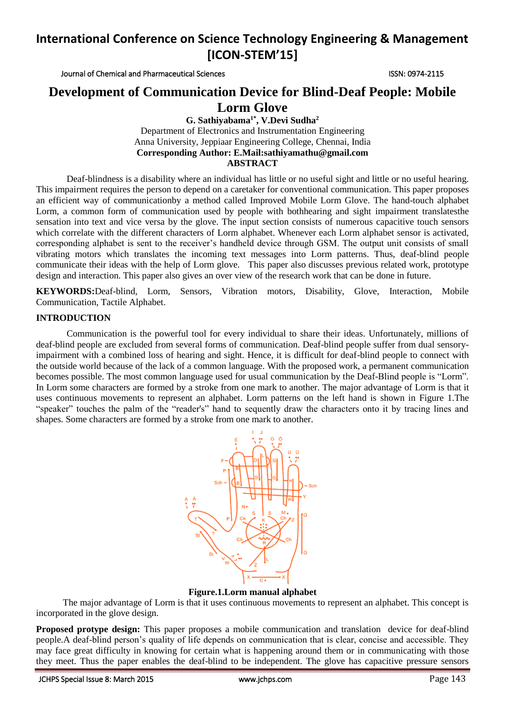Journal of Chemical and Pharmaceutical Sciences **ISSN: 0974-2115** 

## **Development of Communication Device for Blind-Deaf People: Mobile**

## **Lorm Glove**

**G. Sathiyabama1\* , V.Devi Sudha<sup>2</sup>** Department of Electronics and Instrumentation Engineering Anna University, Jeppiaar Engineering College, Chennai, India **Corresponding Author: E.Mail[:sathiyamathu@gmail.com](mailto:sathiyamathu@gmail.com) ABSTRACT**

Deaf-blindness is a disability where an individual has little or no useful [sight](http://en.wikipedia.org/wiki/Visual_perception) and little or no useful [hearing.](http://en.wikipedia.org/wiki/Hearing_%28sense%29) This impairment requires the person to depend on a caretaker for conventional communication. This paper proposes an efficient way of communicationby a method called Improved Mobile Lorm Glove. The hand-touch alphabet Lorm, a common form of communication used by people with bothhearing and sight impairment translatesthe sensation into text and vice versa by the glove. The input section consists of numerous capacitive touch sensors which correlate with the different characters of Lorm alphabet. Whenever each Lorm alphabet sensor is activated, corresponding alphabet is sent to the receiver's handheld device through GSM. The output unit consists of small vibrating motors which translates the incoming text messages into Lorm patterns. Thus, deaf-blind people communicate their ideas with the help of Lorm glove. This paper also discusses previous related work, prototype design and interaction. This paper also gives an over view of the research work that can be done in future.

**KEYWORDS:**Deaf-blind, Lorm, Sensors, Vibration motors, Disability, Glove, Interaction, Mobile Communication, Tactile Alphabet.

### **INTRODUCTION**

Communication is the powerful tool for every individual to share their ideas. Unfortunately, millions of deaf-blind people are excluded from several forms of communication. Deaf-blind people suffer from dual sensoryimpairment with a combined loss of hearing and sight. Hence, it is difficult for deaf-blind people to connect with the outside world because of the lack of a common language. With the proposed work, a permanent communication becomes possible. The most common language used for usual communication by the Deaf-Blind people is "Lorm". In Lorm some characters are formed by a stroke from one mark to another. The major advantage of Lorm is that it uses continuous movements to represent an alphabet. Lorm patterns on the left hand is shown in Figure 1.The "speaker" touches the palm of the "reader's" hand to sequently draw the characters onto it by tracing lines and shapes. Some characters are formed by a stroke from one mark to another.



**Figure.1.Lorm manual alphabet**

The major advantage of Lorm is that it uses continuous movements to represent an alphabet. This concept is incorporated in the glove design.

**Proposed protype design:** This paper proposes a mobile communication and translation device for deaf-blind people.A deaf-blind person's quality of life depends on communication that is clear, concise and accessible. They may face great difficulty in knowing for certain what is happening around them or in communicating with those they meet. Thus the paper enables the deaf-blind to be independent. The glove has capacitive pressure sensors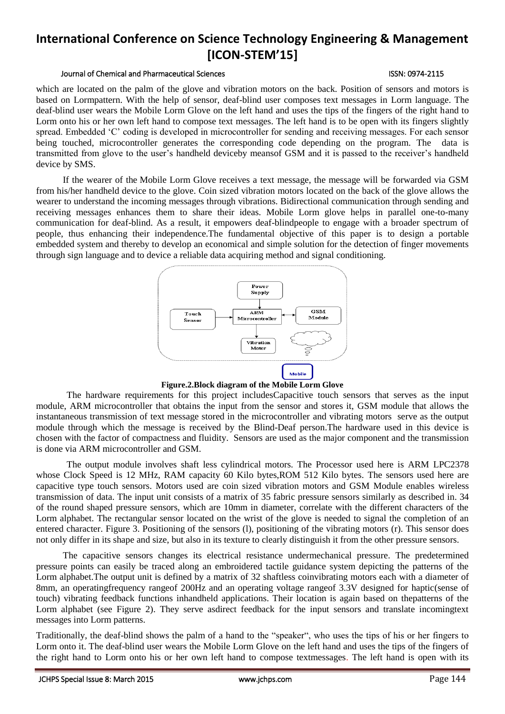### Journal of Chemical and Pharmaceutical Sciences **ISSN: 0974-2115**

which are located on the palm of the glove and vibration motors on the back. Position of sensors and motors is based on Lormpattern. With the help of sensor, deaf-blind user composes text messages in Lorm language. The deaf-blind user wears the Mobile Lorm Glove on the left hand and uses the tips of the fingers of the right hand to Lorm onto his or her own left hand to compose text messages. The left hand is to be open with its fingers slightly spread. Embedded 'C' coding is developed in microcontroller for sending and receiving messages. For each sensor being touched, microcontroller generates the corresponding code depending on the program. The data is transmitted from glove to the user's handheld deviceby meansof GSM and it is passed to the receiver's handheld device by SMS.

If the wearer of the Mobile Lorm Glove receives a text message, the message will be forwarded via GSM from his/her handheld device to the glove. Coin sized vibration motors located on the back of the glove allows the wearer to understand the incoming messages through vibrations. Bidirectional communication through sending and receiving messages enhances them to share their ideas. Mobile Lorm glove helps in parallel one-to-many communication for deaf-blind. As a result, it empowers deaf-blindpeople to engage with a broader spectrum of people, thus enhancing their independence.The fundamental objective of this paper is to design a portable embedded system and thereby to develop an economical and simple solution for the detection of finger movements through sign language and to device a reliable data acquiring method and signal conditioning.



**Figure.2.Block diagram of the Mobile Lorm Glove**

The hardware requirements for this project includesCapacitive touch sensors that serves as the input module, ARM microcontroller that obtains the input from the sensor and stores it, GSM module that allows the instantaneous transmission of text message stored in the microcontroller and vibrating motors serve as the output module through which the message is received by the Blind-Deaf person.The hardware used in this device is chosen with the factor of compactness and fluidity. Sensors are used as the major component and the transmission is done via ARM microcontroller and GSM.

The output module involves shaft less cylindrical motors. The Processor used here is ARM LPC2378 whose Clock Speed is 12 MHz, RAM capacity 60 Kilo bytes, ROM 512 Kilo bytes. The sensors used here are capacitive type touch sensors. Motors used are coin sized vibration motors and GSM Module enables wireless transmission of data. The input unit consists of a matrix of 35 fabric pressure sensors similarly as described in. 34 of the round shaped pressure sensors, which are 10mm in diameter, correlate with the different characters of the Lorm alphabet. The rectangular sensor located on the wrist of the glove is needed to signal the completion of an entered character. Figure 3. Positioning of the sensors (l), positioning of the vibrating motors (r). This sensor does not only differ in its shape and size, but also in its texture to clearly distinguish it from the other pressure sensors.

The capacitive sensors changes its electrical resistance undermechanical pressure. The predetermined pressure points can easily be traced along an embroidered tactile guidance system depicting the patterns of the Lorm alphabet.The output unit is defined by a matrix of 32 shaftless coinvibrating motors each with a diameter of 8mm, an operatingfrequency rangeof 200Hz and an operating voltage rangeof 3.3V designed for haptic(sense of touch) vibrating feedback functions inhandheld applications. Their location is again based on thepatterns of the Lorm alphabet (see Figure 2). They serve asdirect feedback for the input sensors and translate incomingtext messages into Lorm patterns.

Traditionally, the deaf-blind shows the palm of a hand to the "speaker", who uses the tips of his or her fingers to Lorm onto it. The deaf-blind user wears the Mobile Lorm Glove on the left hand and uses the tips of the fingers of the right hand to Lorm onto his or her own left hand to compose textmessages. The left hand is open with its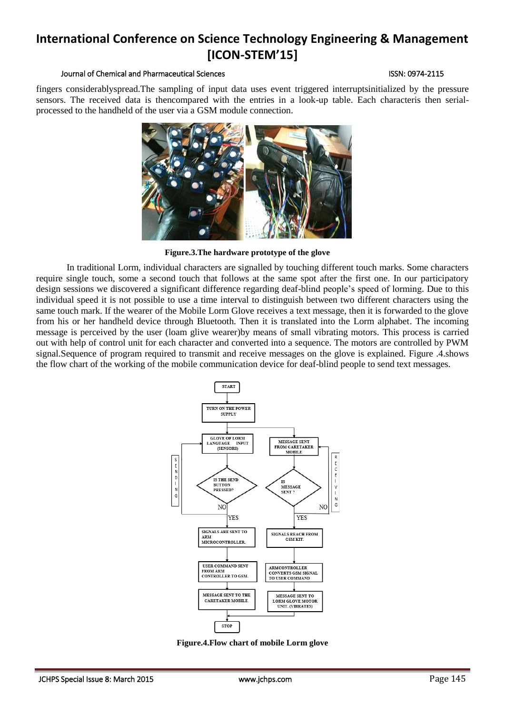### Journal of Chemical and Pharmaceutical Sciences ISSN: 0974-2115

fingers considerablyspread.The sampling of input data uses event triggered interruptsinitialized by the pressure sensors. The received data is thencompared with the entries in a look-up table. Each characteris then serialprocessed to the handheld of the user via a GSM module connection.



**Figure.3.The hardware prototype of the glove**

In traditional Lorm, individual characters are signalled by touching different touch marks. Some characters require single touch, some a second touch that follows at the same spot after the first one. In our participatory design sessions we discovered a significant difference regarding deaf-blind people's speed of lorming. Due to this individual speed it is not possible to use a time interval to distinguish between two different characters using the same touch mark. If the wearer of the Mobile Lorm Glove receives a text message, then it is forwarded to the glove from his or her handheld device through Bluetooth. Then it is translated into the Lorm alphabet. The incoming message is perceived by the user (loam glive wearer)by means of small vibrating motors. This process is carried out with help of control unit for each character and converted into a sequence. The motors are controlled by PWM signal.Sequence of program required to transmit and receive messages on the glove is explained. Figure .4.shows the flow chart of the working of the mobile communication device for deaf-blind people to send text messages.



**Figure.4.Flow chart of mobile Lorm glove**